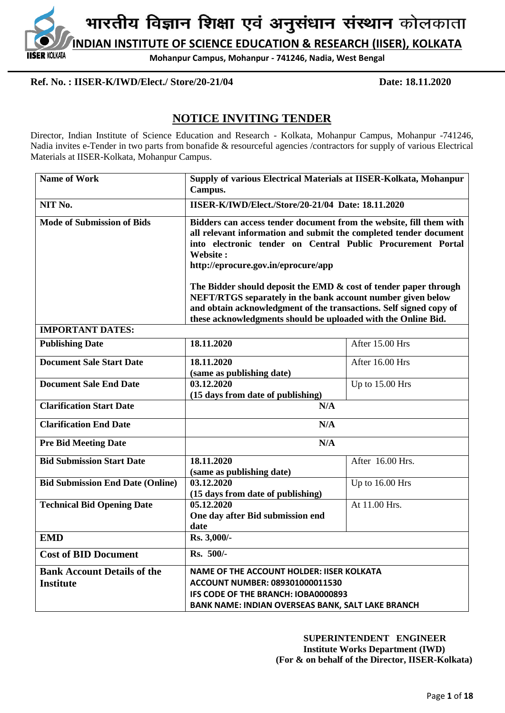

**Ref. No. : IISER-K/IWD/Elect./ Store/20-21/04 Date: 18.11.2020**

**IISER KOLKATA** 

# **NOTICE INVITING TENDER**

Director, Indian Institute of Science Education and Research - Kolkata, Mohanpur Campus, Mohanpur -741246, Nadia invites e-Tender in two parts from bonafide & resourceful agencies /contractors for supply of various Electrical Materials at IISER-Kolkata, Mohanpur Campus.

| <b>Name of Work</b>                                    | Supply of various Electrical Materials at IISER-Kolkata, Mohanpur<br>Campus.                                                                                                                                                                                                                                                   |                  |  |  |  |  |
|--------------------------------------------------------|--------------------------------------------------------------------------------------------------------------------------------------------------------------------------------------------------------------------------------------------------------------------------------------------------------------------------------|------------------|--|--|--|--|
| NIT No.                                                | <b>IISER-K/IWD/Elect./Store/20-21/04 Date: 18.11.2020</b>                                                                                                                                                                                                                                                                      |                  |  |  |  |  |
| <b>Mode of Submission of Bids</b>                      | Bidders can access tender document from the website, fill them with<br>all relevant information and submit the completed tender document<br>into electronic tender on Central Public Procurement Portal<br>Website:<br>http://eprocure.gov.in/eprocure/app<br>The Bidder should deposit the EMD & cost of tender paper through |                  |  |  |  |  |
|                                                        | NEFT/RTGS separately in the bank account number given below<br>and obtain acknowledgment of the transactions. Self signed copy of                                                                                                                                                                                              |                  |  |  |  |  |
|                                                        | these acknowledgments should be uploaded with the Online Bid.                                                                                                                                                                                                                                                                  |                  |  |  |  |  |
| <b>IMPORTANT DATES:</b>                                |                                                                                                                                                                                                                                                                                                                                |                  |  |  |  |  |
| <b>Publishing Date</b>                                 | 18.11.2020                                                                                                                                                                                                                                                                                                                     | After 15.00 Hrs  |  |  |  |  |
| <b>Document Sale Start Date</b>                        | 18.11.2020<br>(same as publishing date)                                                                                                                                                                                                                                                                                        | After 16.00 Hrs  |  |  |  |  |
| <b>Document Sale End Date</b>                          | 03.12.2020<br>(15 days from date of publishing)                                                                                                                                                                                                                                                                                | Up to 15.00 Hrs  |  |  |  |  |
| <b>Clarification Start Date</b>                        | N/A                                                                                                                                                                                                                                                                                                                            |                  |  |  |  |  |
| <b>Clarification End Date</b>                          | N/A                                                                                                                                                                                                                                                                                                                            |                  |  |  |  |  |
| <b>Pre Bid Meeting Date</b>                            | N/A                                                                                                                                                                                                                                                                                                                            |                  |  |  |  |  |
| <b>Bid Submission Start Date</b>                       | 18.11.2020<br>(same as publishing date)                                                                                                                                                                                                                                                                                        | After 16.00 Hrs. |  |  |  |  |
| <b>Bid Submission End Date (Online)</b>                | 03.12.2020<br>(15 days from date of publishing)                                                                                                                                                                                                                                                                                | Up to 16.00 Hrs  |  |  |  |  |
| <b>Technical Bid Opening Date</b>                      | 05.12.2020<br>One day after Bid submission end<br>date                                                                                                                                                                                                                                                                         | At 11.00 Hrs.    |  |  |  |  |
| <b>EMD</b>                                             | Rs. 3,000/-                                                                                                                                                                                                                                                                                                                    |                  |  |  |  |  |
| <b>Cost of BID Document</b>                            | Rs. 500/-                                                                                                                                                                                                                                                                                                                      |                  |  |  |  |  |
| <b>Bank Account Details of the</b><br><b>Institute</b> | <b>NAME OF THE ACCOUNT HOLDER: IISER KOLKATA</b><br><b>ACCOUNT NUMBER: 089301000011530</b><br>IFS CODE OF THE BRANCH: IOBA0000893<br>BANK NAME: INDIAN OVERSEAS BANK, SALT LAKE BRANCH                                                                                                                                         |                  |  |  |  |  |

 **SUPERINTENDENT ENGINEER Institute Works Department (IWD) (For & on behalf of the Director, IISER-Kolkata)**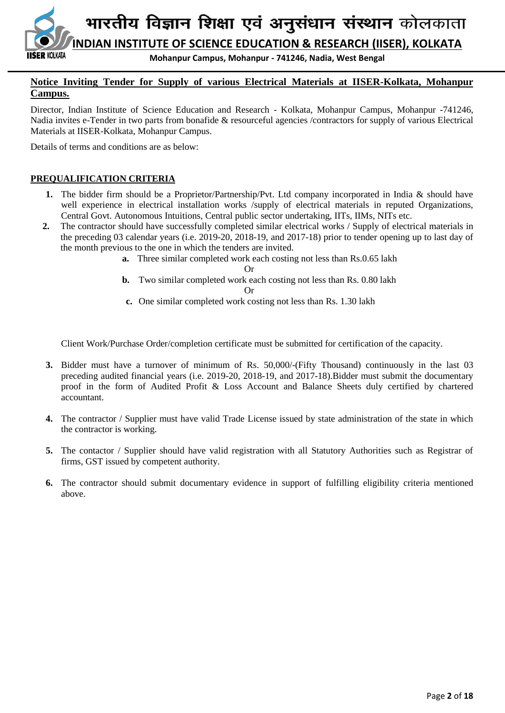

## **Notice Inviting Tender for Supply of various Electrical Materials at IISER-Kolkata, Mohanpur Campus.**

Director, Indian Institute of Science Education and Research - Kolkata, Mohanpur Campus, Mohanpur -741246, Nadia invites e-Tender in two parts from bonafide & resourceful agencies /contractors for supply of various Electrical Materials at IISER-Kolkata, Mohanpur Campus.

Details of terms and conditions are as below:

## **PREQUALIFICATION CRITERIA**

- **1.** The bidder firm should be a Proprietor/Partnership/Pvt. Ltd company incorporated in India & should have well experience in electrical installation works /supply of electrical materials in reputed Organizations, Central Govt. Autonomous Intuitions, Central public sector undertaking, IITs, IIMs, NITs etc.
- **2.** The contractor should have successfully completed similar electrical works / Supply of electrical materials in the preceding 03 calendar years (i.e. 2019-20, 2018-19, and 2017-18) prior to tender opening up to last day of the month previous to the one in which the tenders are invited.
	- **a.** Three similar completed work each costing not less than Rs.0.65 lakh

Or

**b.** Two similar completed work each costing not less than Rs. 0.80 lakh

Or

**c.** One similar completed work costing not less than Rs. 1.30 lakh

Client Work/Purchase Order/completion certificate must be submitted for certification of the capacity.

- **3.** Bidder must have a turnover of minimum of Rs. 50,000/-(Fifty Thousand) continuously in the last 03 preceding audited financial years (i.e. 2019-20, 2018-19, and 2017-18).Bidder must submit the documentary proof in the form of Audited Profit & Loss Account and Balance Sheets duly certified by chartered accountant.
- **4.** The contractor / Supplier must have valid Trade License issued by state administration of the state in which the contractor is working.
- **5.** The contactor / Supplier should have valid registration with all Statutory Authorities such as Registrar of firms, GST issued by competent authority.
- **6.** The contractor should submit documentary evidence in support of fulfilling eligibility criteria mentioned above.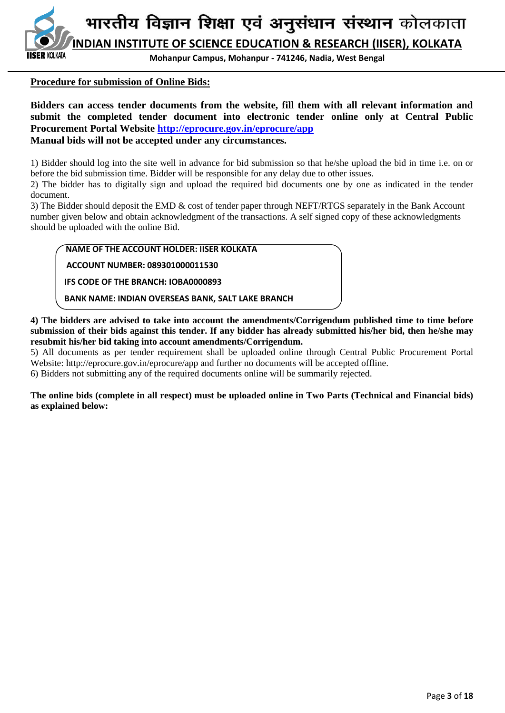**INDIAN INSTITUTE OF SCIENCE EDUCATION & RESEARCH (IISER), KOLKATA SER KOI KATA** 

**Mohanpur Campus, Mohanpur - 741246, Nadia, West Bengal**

## **Procedure for submission of Online Bids:**

**Bidders can access tender documents from the website, fill them with all relevant information and submit the completed tender document into electronic tender online only at Central Public Procurement Portal Website<http://eprocure.gov.in/eprocure/app> Manual bids will not be accepted under any circumstances.**

1) Bidder should log into the site well in advance for bid submission so that he/she upload the bid in time i.e. on or before the bid submission time. Bidder will be responsible for any delay due to other issues.

2) The bidder has to digitally sign and upload the required bid documents one by one as indicated in the tender document.

3) The Bidder should deposit the EMD & cost of tender paper through NEFT/RTGS separately in the Bank Account number given below and obtain acknowledgment of the transactions. A self signed copy of these acknowledgments should be uploaded with the online Bid.

 **NAME OF THE ACCOUNT HOLDER: IISER KOLKATA**

 **ACCOUNT NUMBER: 089301000011530**

 **IFS CODE OF THE BRANCH: IOBA0000893**

 **BANK NAME: INDIAN OVERSEAS BANK, SALT LAKE BRANCH**

**4) The bidders are advised to take into account the amendments/Corrigendum published time to time before submission of their bids against this tender. If any bidder has already submitted his/her bid, then he/she may resubmit his/her bid taking into account amendments/Corrigendum.**

5) All documents as per tender requirement shall be uploaded online through Central Public Procurement Portal Website: http://eprocure.gov.in/eprocure/app and further no documents will be accepted offline.

6) Bidders not submitting any of the required documents online will be summarily rejected.

**The online bids (complete in all respect) must be uploaded online in Two Parts (Technical and Financial bids) as explained below:**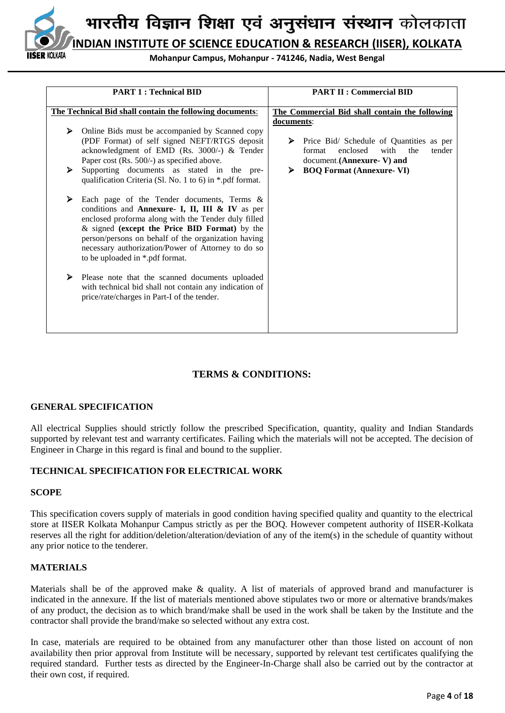

**INDIAN INSTITUTE OF SCIENCE EDUCATION & RESEARCH (IISER), KOLKATA**

**Mohanpur Campus, Mohanpur - 741246, Nadia, West Bengal**

|        | <b>PART 1: Technical BID</b>                                                                                                                                                                                                                                                                                                                                                                                                                                                                                      | <b>PART II : Commercial BID</b>                                                                                                                                    |  |  |  |
|--------|-------------------------------------------------------------------------------------------------------------------------------------------------------------------------------------------------------------------------------------------------------------------------------------------------------------------------------------------------------------------------------------------------------------------------------------------------------------------------------------------------------------------|--------------------------------------------------------------------------------------------------------------------------------------------------------------------|--|--|--|
|        | The Technical Bid shall contain the following documents:                                                                                                                                                                                                                                                                                                                                                                                                                                                          | The Commercial Bid shall contain the following<br>documents:                                                                                                       |  |  |  |
| ⋗<br>≻ | Online Bids must be accompanied by Scanned copy<br>(PDF Format) of self signed NEFT/RTGS deposit<br>acknowledgment of EMD (Rs. 3000/-) & Tender<br>Paper cost (Rs. 500/-) as specified above.<br>Supporting documents as stated in the pre-<br>qualification Criteria (Sl. No. 1 to 6) in *.pdf format.                                                                                                                                                                                                           | Price Bid/ Schedule of Quantities as per<br>➤<br>enclosed<br>with<br>the<br>tender<br>format<br>document.(Annexure-V) and<br><b>BOQ Format (Annexure- VI)</b><br>➤ |  |  |  |
| ≻<br>⋗ | Each page of the Tender documents, Terms &<br>conditions and Annexure- I, II, III & IV as per<br>enclosed proforma along with the Tender duly filled<br>& signed (except the Price BID Format) by the<br>person/persons on behalf of the organization having<br>necessary authorization/Power of Attorney to do so<br>to be uploaded in *.pdf format.<br>Please note that the scanned documents uploaded<br>with technical bid shall not contain any indication of<br>price/rate/charges in Part-I of the tender. |                                                                                                                                                                    |  |  |  |

## **TERMS & CONDITIONS:**

#### **GENERAL SPECIFICATION**

All electrical Supplies should strictly follow the prescribed Specification, quantity, quality and Indian Standards supported by relevant test and warranty certificates. Failing which the materials will not be accepted. The decision of Engineer in Charge in this regard is final and bound to the supplier.

#### **TECHNICAL SPECIFICATION FOR ELECTRICAL WORK**

#### **SCOPE**

This specification covers supply of materials in good condition having specified quality and quantity to the electrical store at IISER Kolkata Mohanpur Campus strictly as per the BOQ. However competent authority of IISER-Kolkata reserves all the right for addition/deletion/alteration/deviation of any of the item(s) in the schedule of quantity without any prior notice to the tenderer.

#### **MATERIALS**

Materials shall be of the approved make & quality. A list of materials of approved brand and manufacturer is indicated in the annexure. If the list of materials mentioned above stipulates two or more or alternative brands/makes of any product, the decision as to which brand/make shall be used in the work shall be taken by the Institute and the contractor shall provide the brand/make so selected without any extra cost.

In case, materials are required to be obtained from any manufacturer other than those listed on account of non availability then prior approval from Institute will be necessary, supported by relevant test certificates qualifying the required standard. Further tests as directed by the Engineer-In-Charge shall also be carried out by the contractor at their own cost, if required.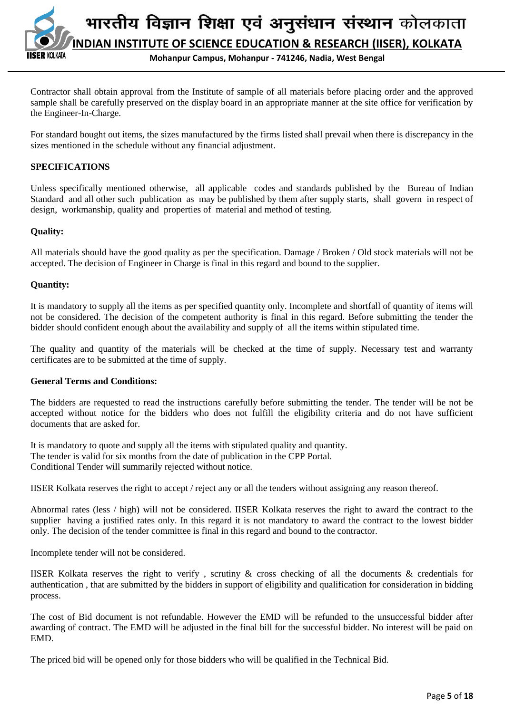

Contractor shall obtain approval from the Institute of sample of all materials before placing order and the approved sample shall be carefully preserved on the display board in an appropriate manner at the site office for verification by the Engineer-In-Charge.

For standard bought out items, the sizes manufactured by the firms listed shall prevail when there is discrepancy in the sizes mentioned in the schedule without any financial adjustment.

## **SPECIFICATIONS**

Unless specifically mentioned otherwise, all applicable codes and standards published by the Bureau of Indian Standard and all other such publication as may be published by them after supply starts, shall govern in respect of design, workmanship, quality and properties of material and method of testing.

## **Quality:**

All materials should have the good quality as per the specification. Damage / Broken / Old stock materials will not be accepted. The decision of Engineer in Charge is final in this regard and bound to the supplier.

#### **Quantity:**

It is mandatory to supply all the items as per specified quantity only. Incomplete and shortfall of quantity of items will not be considered. The decision of the competent authority is final in this regard. Before submitting the tender the bidder should confident enough about the availability and supply of all the items within stipulated time.

The quality and quantity of the materials will be checked at the time of supply. Necessary test and warranty certificates are to be submitted at the time of supply.

#### **General Terms and Conditions:**

The bidders are requested to read the instructions carefully before submitting the tender. The tender will be not be accepted without notice for the bidders who does not fulfill the eligibility criteria and do not have sufficient documents that are asked for.

It is mandatory to quote and supply all the items with stipulated quality and quantity. The tender is valid for six months from the date of publication in the CPP Portal. Conditional Tender will summarily rejected without notice.

IISER Kolkata reserves the right to accept / reject any or all the tenders without assigning any reason thereof.

Abnormal rates (less / high) will not be considered. IISER Kolkata reserves the right to award the contract to the supplier having a justified rates only. In this regard it is not mandatory to award the contract to the lowest bidder only. The decision of the tender committee is final in this regard and bound to the contractor.

Incomplete tender will not be considered.

IISER Kolkata reserves the right to verify , scrutiny & cross checking of all the documents & credentials for authentication , that are submitted by the bidders in support of eligibility and qualification for consideration in bidding process.

The cost of Bid document is not refundable. However the EMD will be refunded to the unsuccessful bidder after awarding of contract. The EMD will be adjusted in the final bill for the successful bidder. No interest will be paid on EMD.

The priced bid will be opened only for those bidders who will be qualified in the Technical Bid.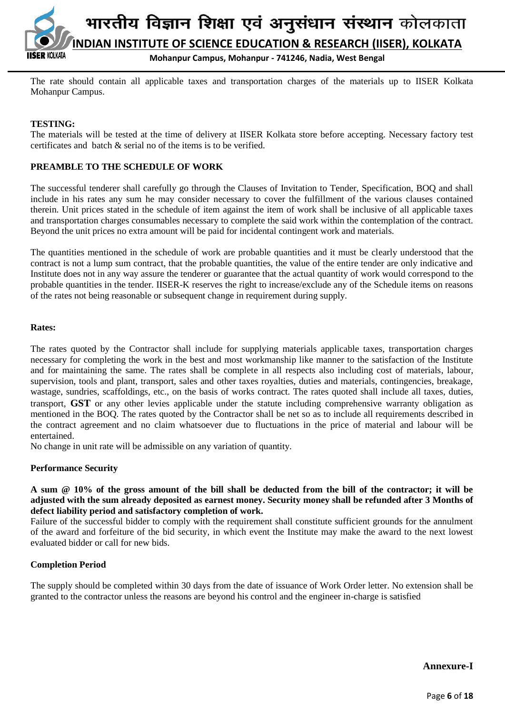

The rate should contain all applicable taxes and transportation charges of the materials up to IISER Kolkata Mohanpur Campus.

## **TESTING:**

The materials will be tested at the time of delivery at IISER Kolkata store before accepting. Necessary factory test certificates and batch & serial no of the items is to be verified.

#### **PREAMBLE TO THE SCHEDULE OF WORK**

The successful tenderer shall carefully go through the Clauses of Invitation to Tender, Specification, BOQ and shall include in his rates any sum he may consider necessary to cover the fulfillment of the various clauses contained therein. Unit prices stated in the schedule of item against the item of work shall be inclusive of all applicable taxes and transportation charges consumables necessary to complete the said work within the contemplation of the contract. Beyond the unit prices no extra amount will be paid for incidental contingent work and materials.

The quantities mentioned in the schedule of work are probable quantities and it must be clearly understood that the contract is not a lump sum contract, that the probable quantities, the value of the entire tender are only indicative and Institute does not in any way assure the tenderer or guarantee that the actual quantity of work would correspond to the probable quantities in the tender. IISER-K reserves the right to increase/exclude any of the Schedule items on reasons of the rates not being reasonable or subsequent change in requirement during supply.

#### **Rates:**

The rates quoted by the Contractor shall include for supplying materials applicable taxes, transportation charges necessary for completing the work in the best and most workmanship like manner to the satisfaction of the Institute and for maintaining the same. The rates shall be complete in all respects also including cost of materials, labour, supervision, tools and plant, transport, sales and other taxes royalties, duties and materials, contingencies, breakage, wastage, sundries, scaffoldings, etc., on the basis of works contract. The rates quoted shall include all taxes, duties, transport, **GST** or any other levies applicable under the statute including comprehensive warranty obligation as mentioned in the BOQ. The rates quoted by the Contractor shall be net so as to include all requirements described in the contract agreement and no claim whatsoever due to fluctuations in the price of material and labour will be entertained.

No change in unit rate will be admissible on any variation of quantity.

#### **Performance Security**

**A sum @ 10% of the gross amount of the bill shall be deducted from the bill of the contractor; it will be adjusted with the sum already deposited as earnest money. Security money shall be refunded after 3 Months of defect liability period and satisfactory completion of work.**

Failure of the successful bidder to comply with the requirement shall constitute sufficient grounds for the annulment of the award and forfeiture of the bid security, in which event the Institute may make the award to the next lowest evaluated bidder or call for new bids.

#### **Completion Period**

The supply should be completed within 30 days from the date of issuance of Work Order letter. No extension shall be granted to the contractor unless the reasons are beyond his control and the engineer in-charge is satisfied

**Annexure-I**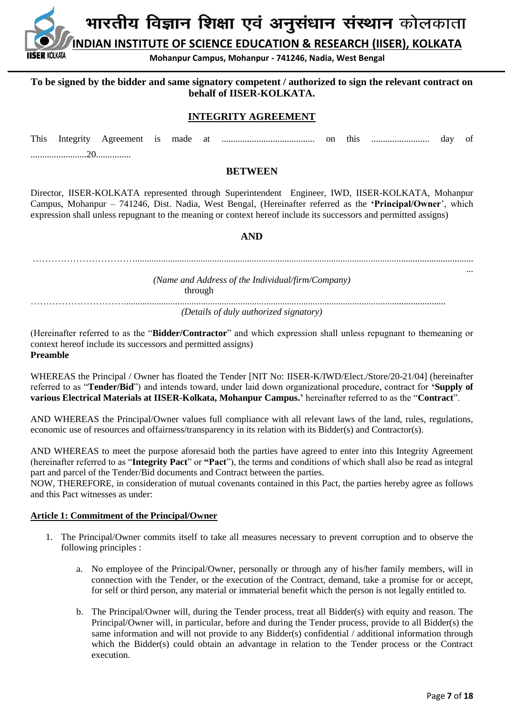**INDIAN INSTITUTE OF SCIENCE EDUCATION & RESEARCH (IISER), KOLKATA**

**Mohanpur Campus, Mohanpur - 741246, Nadia, West Bengal**

## **To be signed by the bidder and same signatory competent / authorized to sign the relevant contract on behalf of IISER-KOLKATA.**

## **INTEGRITY AGREEMENT**

| This | Integrity Agreement is made at |  |  | on | this | <br>dav | 0t |
|------|--------------------------------|--|--|----|------|---------|----|
|      |                                |  |  |    |      |         |    |

#### **BETWEEN**

Director, IISER-KOLKATA represented through Superintendent Engineer, IWD, IISER-KOLKATA, Mohanpur Campus, Mohanpur – 741246, Dist. Nadia, West Bengal, (Hereinafter referred as the **'Principal/Owner**', which expression shall unless repugnant to the meaning or context hereof include its successors and permitted assigns)

## **AND**

| (Name and Address of the Individual/firm/Company)<br>through | $\cdots$ |
|--------------------------------------------------------------|----------|
| (Details of duly authorized signatory)                       |          |

(Hereinafter referred to as the "**Bidder/Contractor**" and which expression shall unless repugnant to themeaning or context hereof include its successors and permitted assigns) **Preamble**

WHEREAS the Principal / Owner has floated the Tender [NIT No: IISER-K/IWD/Elect./Store/20-21/04] (hereinafter referred to as "**Tender/Bid**") and intends toward, under laid down organizational procedure, contract for **'Supply of various Electrical Materials at IISER-Kolkata, Mohanpur Campus.'** hereinafter referred to as the "**Contract**".

AND WHEREAS the Principal/Owner values full compliance with all relevant laws of the land, rules, regulations, economic use of resources and offairness/transparency in its relation with its Bidder(s) and Contractor(s).

AND WHEREAS to meet the purpose aforesaid both the parties have agreed to enter into this Integrity Agreement (hereinafter referred to as "**Integrity Pact**" or **"Pact**"), the terms and conditions of which shall also be read as integral part and parcel of the Tender/Bid documents and Contract between the parties.

NOW, THEREFORE, in consideration of mutual covenants contained in this Pact, the parties hereby agree as follows and this Pact witnesses as under:

#### **Article 1: Commitment of the Principal/Owner**

KOI KATA

- 1. The Principal/Owner commits itself to take all measures necessary to prevent corruption and to observe the following principles :
	- a. No employee of the Principal/Owner, personally or through any of his/her family members, will in connection with the Tender, or the execution of the Contract, demand, take a promise for or accept, for self or third person, any material or immaterial benefit which the person is not legally entitled to.
	- b. The Principal/Owner will, during the Tender process, treat all Bidder(s) with equity and reason. The Principal/Owner will, in particular, before and during the Tender process, provide to all Bidder(s) the same information and will not provide to any Bidder(s) confidential / additional information through which the Bidder(s) could obtain an advantage in relation to the Tender process or the Contract execution.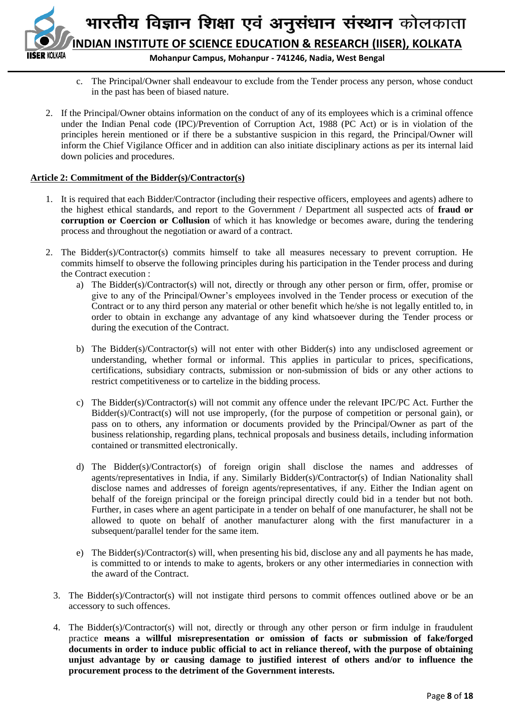

- c. The Principal/Owner shall endeavour to exclude from the Tender process any person, whose conduct in the past has been of biased nature.
- 2. If the Principal/Owner obtains information on the conduct of any of its employees which is a criminal offence under the Indian Penal code (IPC)/Prevention of Corruption Act, 1988 (PC Act) or is in violation of the principles herein mentioned or if there be a substantive suspicion in this regard, the Principal/Owner will inform the Chief Vigilance Officer and in addition can also initiate disciplinary actions as per its internal laid down policies and procedures.

### **Article 2: Commitment of the Bidder(s)/Contractor(s)**

- 1. It is required that each Bidder/Contractor (including their respective officers, employees and agents) adhere to the highest ethical standards, and report to the Government / Department all suspected acts of **fraud or corruption or Coercion or Collusion** of which it has knowledge or becomes aware, during the tendering process and throughout the negotiation or award of a contract.
- 2. The Bidder(s)/Contractor(s) commits himself to take all measures necessary to prevent corruption. He commits himself to observe the following principles during his participation in the Tender process and during the Contract execution :
	- a) The Bidder(s)/Contractor(s) will not, directly or through any other person or firm, offer, promise or give to any of the Principal/Owner's employees involved in the Tender process or execution of the Contract or to any third person any material or other benefit which he/she is not legally entitled to, in order to obtain in exchange any advantage of any kind whatsoever during the Tender process or during the execution of the Contract.
	- b) The Bidder(s)/Contractor(s) will not enter with other Bidder(s) into any undisclosed agreement or understanding, whether formal or informal. This applies in particular to prices, specifications, certifications, subsidiary contracts, submission or non-submission of bids or any other actions to restrict competitiveness or to cartelize in the bidding process.
	- c) The Bidder(s)/Contractor(s) will not commit any offence under the relevant IPC/PC Act. Further the Bidder(s)/Contract(s) will not use improperly, (for the purpose of competition or personal gain), or pass on to others, any information or documents provided by the Principal/Owner as part of the business relationship, regarding plans, technical proposals and business details, including information contained or transmitted electronically.
	- d) The Bidder(s)/Contractor(s) of foreign origin shall disclose the names and addresses of agents/representatives in India, if any. Similarly Bidder(s)/Contractor(s) of Indian Nationality shall disclose names and addresses of foreign agents/representatives, if any. Either the Indian agent on behalf of the foreign principal or the foreign principal directly could bid in a tender but not both. Further, in cases where an agent participate in a tender on behalf of one manufacturer, he shall not be allowed to quote on behalf of another manufacturer along with the first manufacturer in a subsequent/parallel tender for the same item.
	- e) The Bidder(s)/Contractor(s) will, when presenting his bid, disclose any and all payments he has made, is committed to or intends to make to agents, brokers or any other intermediaries in connection with the award of the Contract.
	- 3. The Bidder(s)/Contractor(s) will not instigate third persons to commit offences outlined above or be an accessory to such offences.
	- 4. The Bidder(s)/Contractor(s) will not, directly or through any other person or firm indulge in fraudulent practice **means a willful misrepresentation or omission of facts or submission of fake/forged documents in order to induce public official to act in reliance thereof, with the purpose of obtaining unjust advantage by or causing damage to justified interest of others and/or to influence the procurement process to the detriment of the Government interests.**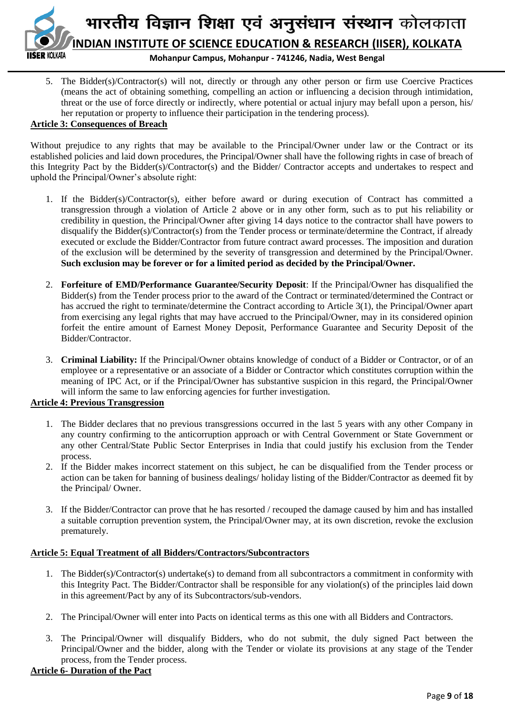

5. The Bidder(s)/Contractor(s) will not, directly or through any other person or firm use Coercive Practices (means the act of obtaining something, compelling an action or influencing a decision through intimidation, threat or the use of force directly or indirectly, where potential or actual injury may befall upon a person, his/ her reputation or property to influence their participation in the tendering process).

## **Article 3: Consequences of Breach**

Without prejudice to any rights that may be available to the Principal/Owner under law or the Contract or its established policies and laid down procedures, the Principal/Owner shall have the following rights in case of breach of this Integrity Pact by the Bidder(s)/Contractor(s) and the Bidder/ Contractor accepts and undertakes to respect and uphold the Principal/Owner's absolute right:

- 1. If the Bidder(s)/Contractor(s), either before award or during execution of Contract has committed a transgression through a violation of Article 2 above or in any other form, such as to put his reliability or credibility in question, the Principal/Owner after giving 14 days notice to the contractor shall have powers to disqualify the Bidder(s)/Contractor(s) from the Tender process or terminate/determine the Contract, if already executed or exclude the Bidder/Contractor from future contract award processes. The imposition and duration of the exclusion will be determined by the severity of transgression and determined by the Principal/Owner. **Such exclusion may be forever or for a limited period as decided by the Principal/Owner.**
- 2. **Forfeiture of EMD/Performance Guarantee/Security Deposit**: If the Principal/Owner has disqualified the Bidder(s) from the Tender process prior to the award of the Contract or terminated/determined the Contract or has accrued the right to terminate/determine the Contract according to Article 3(1), the Principal/Owner apart from exercising any legal rights that may have accrued to the Principal/Owner, may in its considered opinion forfeit the entire amount of Earnest Money Deposit, Performance Guarantee and Security Deposit of the Bidder/Contractor.
- 3. **Criminal Liability:** If the Principal/Owner obtains knowledge of conduct of a Bidder or Contractor, or of an employee or a representative or an associate of a Bidder or Contractor which constitutes corruption within the meaning of IPC Act, or if the Principal/Owner has substantive suspicion in this regard, the Principal/Owner will inform the same to law enforcing agencies for further investigation.

### **Article 4: Previous Transgression**

- 1. The Bidder declares that no previous transgressions occurred in the last 5 years with any other Company in any country confirming to the anticorruption approach or with Central Government or State Government or any other Central/State Public Sector Enterprises in India that could justify his exclusion from the Tender process.
- 2. If the Bidder makes incorrect statement on this subject, he can be disqualified from the Tender process or action can be taken for banning of business dealings/ holiday listing of the Bidder/Contractor as deemed fit by the Principal/ Owner.
- 3. If the Bidder/Contractor can prove that he has resorted / recouped the damage caused by him and has installed a suitable corruption prevention system, the Principal/Owner may, at its own discretion, revoke the exclusion prematurely.

#### **Article 5: Equal Treatment of all Bidders/Contractors/Subcontractors**

- 1. The Bidder(s)/Contractor(s) undertake(s) to demand from all subcontractors a commitment in conformity with this Integrity Pact. The Bidder/Contractor shall be responsible for any violation(s) of the principles laid down in this agreement/Pact by any of its Subcontractors/sub-vendors.
- 2. The Principal/Owner will enter into Pacts on identical terms as this one with all Bidders and Contractors.
- 3. The Principal/Owner will disqualify Bidders, who do not submit, the duly signed Pact between the Principal/Owner and the bidder, along with the Tender or violate its provisions at any stage of the Tender process, from the Tender process.

#### **Article 6- Duration of the Pact**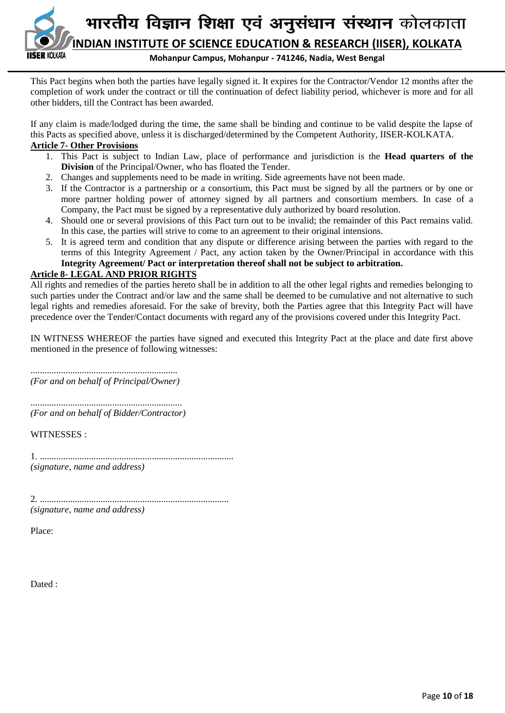

This Pact begins when both the parties have legally signed it. It expires for the Contractor/Vendor 12 months after the completion of work under the contract or till the continuation of defect liability period, whichever is more and for all other bidders, till the Contract has been awarded.

If any claim is made/lodged during the time, the same shall be binding and continue to be valid despite the lapse of this Pacts as specified above, unless it is discharged/determined by the Competent Authority, IISER-KOLKATA.

## **Article 7- Other Provisions**

- 1. This Pact is subject to Indian Law, place of performance and jurisdiction is the **Head quarters of the Division** of the Principal/Owner, who has floated the Tender.
- 2. Changes and supplements need to be made in writing. Side agreements have not been made.
- 3. If the Contractor is a partnership or a consortium, this Pact must be signed by all the partners or by one or more partner holding power of attorney signed by all partners and consortium members. In case of a Company, the Pact must be signed by a representative duly authorized by board resolution.
- 4. Should one or several provisions of this Pact turn out to be invalid; the remainder of this Pact remains valid. In this case, the parties will strive to come to an agreement to their original intensions.
- 5. It is agreed term and condition that any dispute or difference arising between the parties with regard to the terms of this Integrity Agreement / Pact, any action taken by the Owner/Principal in accordance with this **Integrity Agreement/ Pact or interpretation thereof shall not be subject to arbitration.**

## **Article 8- LEGAL AND PRIOR RIGHTS**

All rights and remedies of the parties hereto shall be in addition to all the other legal rights and remedies belonging to such parties under the Contract and/or law and the same shall be deemed to be cumulative and not alternative to such legal rights and remedies aforesaid. For the sake of brevity, both the Parties agree that this Integrity Pact will have precedence over the Tender/Contact documents with regard any of the provisions covered under this Integrity Pact.

IN WITNESS WHEREOF the parties have signed and executed this Integrity Pact at the place and date first above mentioned in the presence of following witnesses:

............................................................... *(For and on behalf of Principal/Owner)*

................................................................. *(For and on behalf of Bidder/Contractor)*

WITNESSES :

1. ................................................................................... *(signature, name and address)*

2. ................................................................................. *(signature, name and address)*

Place:

Dated :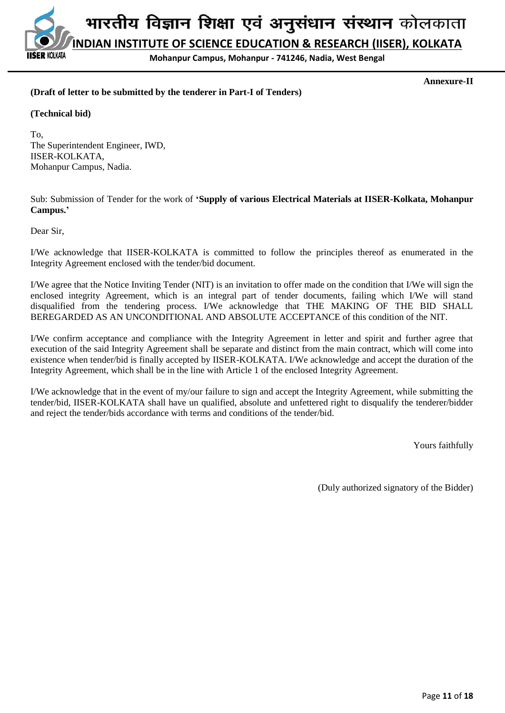

**Annexure-II**

## **(Draft of letter to be submitted by the tenderer in Part-I of Tenders)**

#### **(Technical bid)**

To, The Superintendent Engineer, IWD, IISER-KOLKATA, Mohanpur Campus, Nadia.

Sub: Submission of Tender for the work of **'Supply of various Electrical Materials at IISER-Kolkata, Mohanpur Campus.'**

Dear Sir,

I/We acknowledge that IISER-KOLKATA is committed to follow the principles thereof as enumerated in the Integrity Agreement enclosed with the tender/bid document.

I/We agree that the Notice Inviting Tender (NIT) is an invitation to offer made on the condition that I/We will sign the enclosed integrity Agreement, which is an integral part of tender documents, failing which I/We will stand disqualified from the tendering process. I/We acknowledge that THE MAKING OF THE BID SHALL BEREGARDED AS AN UNCONDITIONAL AND ABSOLUTE ACCEPTANCE of this condition of the NIT.

I/We confirm acceptance and compliance with the Integrity Agreement in letter and spirit and further agree that execution of the said Integrity Agreement shall be separate and distinct from the main contract, which will come into existence when tender/bid is finally accepted by IISER-KOLKATA. I/We acknowledge and accept the duration of the Integrity Agreement, which shall be in the line with Article 1 of the enclosed Integrity Agreement.

I/We acknowledge that in the event of my/our failure to sign and accept the Integrity Agreement, while submitting the tender/bid, IISER-KOLKATA shall have un qualified, absolute and unfettered right to disqualify the tenderer/bidder and reject the tender/bids accordance with terms and conditions of the tender/bid.

Yours faithfully

(Duly authorized signatory of the Bidder)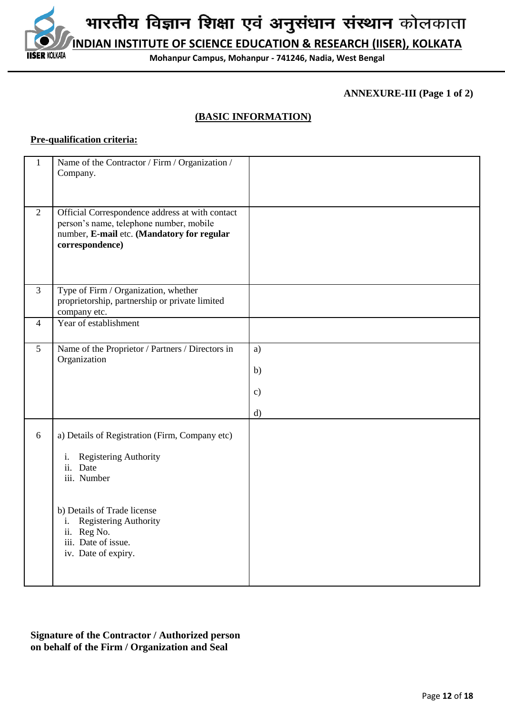

**ANNEXURE-III (Page 1 of 2)**

## **(BASIC INFORMATION)**

## **Pre-qualification criteria:**

| $\mathbf{1}$   | Name of the Contractor / Firm / Organization /<br>Company.                                                                                                                                                                          |                                 |
|----------------|-------------------------------------------------------------------------------------------------------------------------------------------------------------------------------------------------------------------------------------|---------------------------------|
| $\overline{2}$ | Official Correspondence address at with contact<br>person's name, telephone number, mobile<br>number, E-mail etc. (Mandatory for regular<br>correspondence)                                                                         |                                 |
| $\overline{3}$ | Type of Firm / Organization, whether<br>proprietorship, partnership or private limited<br>company etc.                                                                                                                              |                                 |
| $\overline{4}$ | Year of establishment                                                                                                                                                                                                               |                                 |
| 5              | Name of the Proprietor / Partners / Directors in<br>Organization                                                                                                                                                                    | a)<br>b)<br>$\mathbf{c})$<br>d) |
| 6              | a) Details of Registration (Firm, Company etc)<br>Registering Authority<br>i.<br>ii. Date<br>iii. Number<br>b) Details of Trade license<br>Registering Authority<br>i.<br>ii. Reg No.<br>iii. Date of issue.<br>iv. Date of expiry. |                                 |

**Signature of the Contractor / Authorized person on behalf of the Firm / Organization and Seal**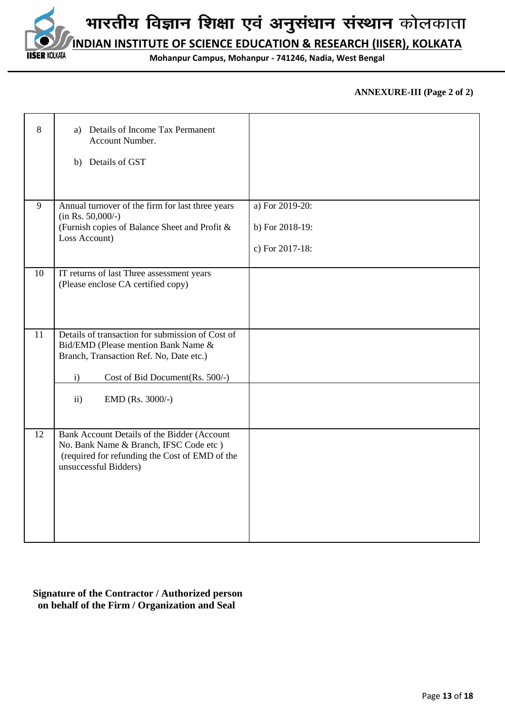

**INDIAN INSTITUTE OF SCIENCE EDUCATION & RESEARCH (IISER), KOLKATA**

**Mohanpur Campus, Mohanpur - 741246, Nadia, West Bengal**

## **ANNEXURE-III (Page 2 of 2)**

| 8  | Details of Income Tax Permanent<br>a)<br>Account Number.<br>b) Details of GST                                                                                                                                              |                                                       |
|----|----------------------------------------------------------------------------------------------------------------------------------------------------------------------------------------------------------------------------|-------------------------------------------------------|
| 9  | Annual turnover of the firm for last three years<br>$(in Rs. 50,000/-)$<br>(Furnish copies of Balance Sheet and Profit &<br>Loss Account)                                                                                  | a) For 2019-20:<br>b) For 2018-19:<br>c) For 2017-18: |
| 10 | IT returns of last Three assessment years<br>(Please enclose CA certified copy)                                                                                                                                            |                                                       |
| 11 | Details of transaction for submission of Cost of<br>Bid/EMD (Please mention Bank Name &<br>Branch, Transaction Ref. No, Date etc.)<br>Cost of Bid Document(Rs. 500/-)<br>$\mathbf{i}$<br>$\mathbf{ii}$<br>EMD (Rs. 3000/-) |                                                       |
| 12 | Bank Account Details of the Bidder (Account<br>No. Bank Name & Branch, IFSC Code etc )<br>(required for refunding the Cost of EMD of the<br>unsuccessful Bidders)                                                          |                                                       |

## **Signature of the Contractor / Authorized person on behalf of the Firm / Organization and Seal**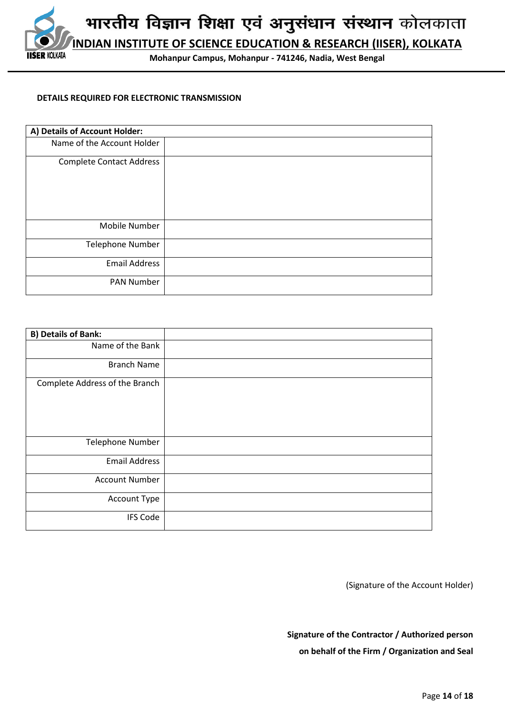

#### **DETAILS REQUIRED FOR ELECTRONIC TRANSMISSION**

| A) Details of Account Holder:   |  |
|---------------------------------|--|
| Name of the Account Holder      |  |
| <b>Complete Contact Address</b> |  |
| Mobile Number                   |  |
| <b>Telephone Number</b>         |  |
| <b>Email Address</b>            |  |
| <b>PAN Number</b>               |  |

| <b>B) Details of Bank:</b>     |  |
|--------------------------------|--|
| Name of the Bank               |  |
| <b>Branch Name</b>             |  |
| Complete Address of the Branch |  |
| <b>Telephone Number</b>        |  |
| <b>Email Address</b>           |  |
| <b>Account Number</b>          |  |
| Account Type                   |  |
| <b>IFS Code</b>                |  |

(Signature of the Account Holder)

**Signature of the Contractor / Authorized person on behalf of the Firm / Organization and Seal**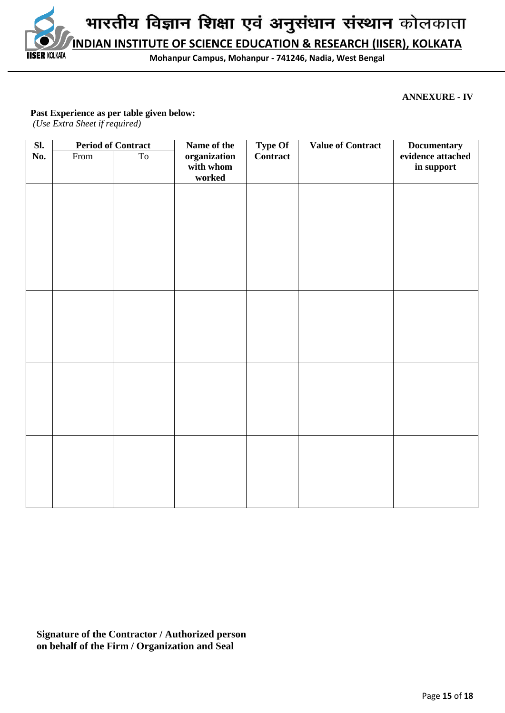

## **ANNEXURE - IV**

#### **Past Experience as per table given below:**

*(Use Extra Sheet if required)*

**IISER KOLKATA** 

| $\overline{\text{SL}}$ |      | <b>Period of Contract</b> | Name of the                         | <b>Type Of</b> | <b>Value of Contract</b> | <b>Documentary</b>              |
|------------------------|------|---------------------------|-------------------------------------|----------------|--------------------------|---------------------------------|
| No.                    | From | T <sub>o</sub>            | organization<br>with whom<br>worked | Contract       |                          | evidence attached<br>in support |
|                        |      |                           |                                     |                |                          |                                 |
|                        |      |                           |                                     |                |                          |                                 |
|                        |      |                           |                                     |                |                          |                                 |
|                        |      |                           |                                     |                |                          |                                 |
|                        |      |                           |                                     |                |                          |                                 |
|                        |      |                           |                                     |                |                          |                                 |
|                        |      |                           |                                     |                |                          |                                 |
|                        |      |                           |                                     |                |                          |                                 |
|                        |      |                           |                                     |                |                          |                                 |
|                        |      |                           |                                     |                |                          |                                 |
|                        |      |                           |                                     |                |                          |                                 |
|                        |      |                           |                                     |                |                          |                                 |
|                        |      |                           |                                     |                |                          |                                 |

**Signature of the Contractor / Authorized person on behalf of the Firm / Organization and Seal**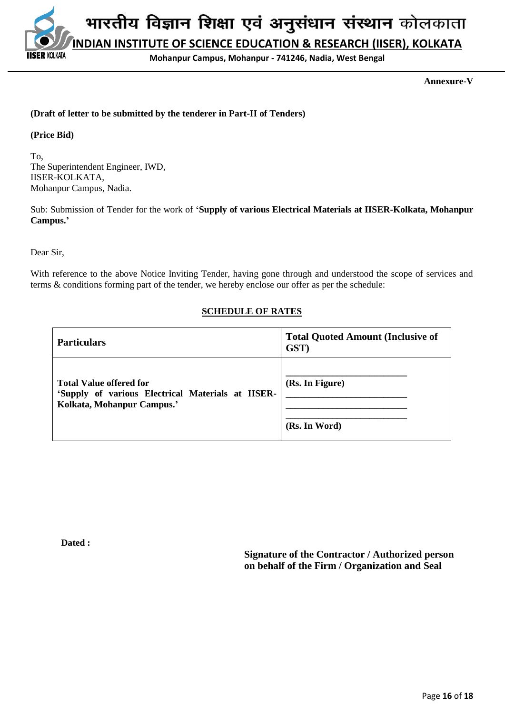भारतीय विज्ञान शिक्षा एवं अनुसंधान संस्थान कोलकाता **INDIAN INSTITUTE OF SCIENCE EDUCATION & RESEARCH (IISER), KOLKATA** KOLKATA

**Mohanpur Campus, Mohanpur - 741246, Nadia, West Bengal**

**Annexure-V**

## **(Draft of letter to be submitted by the tenderer in Part-II of Tenders)**

**(Price Bid)**

To, The Superintendent Engineer, IWD, IISER-KOLKATA, Mohanpur Campus, Nadia.

Sub: Submission of Tender for the work of **'Supply of various Electrical Materials at IISER-Kolkata, Mohanpur Campus.'**

Dear Sir,

With reference to the above Notice Inviting Tender, having gone through and understood the scope of services and terms & conditions forming part of the tender, we hereby enclose our offer as per the schedule:

## **SCHEDULE OF RATES**

| <b>Particulars</b>                                                                                                | <b>Total Quoted Amount (Inclusive of</b><br>GST) |
|-------------------------------------------------------------------------------------------------------------------|--------------------------------------------------|
| <b>Total Value offered for</b><br>'Supply of various Electrical Materials at IISER-<br>Kolkata, Mohanpur Campus.' | (Rs. In Figure)<br>(Rs. In Word)                 |

**Dated :** 

**Signature of the Contractor / Authorized person on behalf of the Firm / Organization and Seal**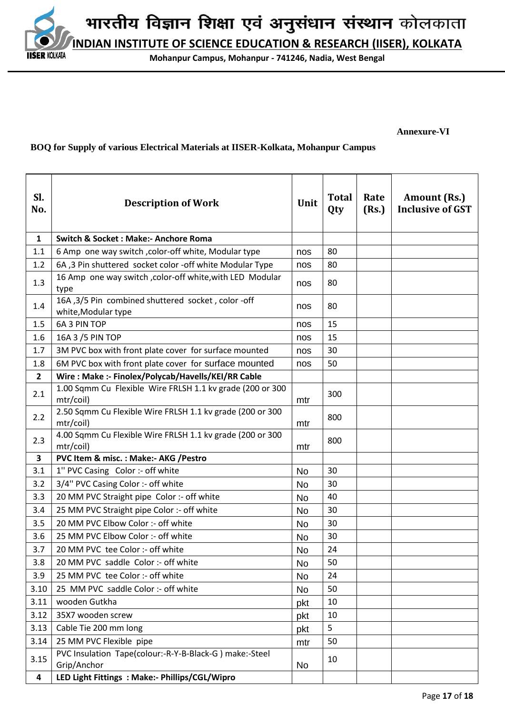

#### **Annexure-VI**

## **BOQ for Supply of various Electrical Materials at IISER-Kolkata, Mohanpur Campus**

| SI.<br>No.     | <b>Description of Work</b>                                                | Unit      | <b>Total</b><br>Qty | Rate<br>(Rs.) | Amount (Rs.)<br><b>Inclusive of GST</b> |
|----------------|---------------------------------------------------------------------------|-----------|---------------------|---------------|-----------------------------------------|
| $\mathbf{1}$   | <b>Switch &amp; Socket: Make:- Anchore Roma</b>                           |           |                     |               |                                         |
| 1.1            | 6 Amp one way switch , color-off white, Modular type                      | nos       | 80                  |               |                                         |
| 1.2            | 6A, 3 Pin shuttered socket color -off white Modular Type                  | nos       | 80                  |               |                                         |
| 1.3            | 16 Amp one way switch , color-off white, with LED Modular<br>type         | nos       | 80                  |               |                                         |
| 1.4            | 16A, 3/5 Pin combined shuttered socket, color -off<br>white, Modular type | nos       | 80                  |               |                                         |
| 1.5            | 6A 3 PIN TOP                                                              | nos       | 15                  |               |                                         |
| 1.6            | 16A 3 / 5 PIN TOP                                                         | nos       | 15                  |               |                                         |
| 1.7            | 3M PVC box with front plate cover for surface mounted                     | nos       | 30                  |               |                                         |
| 1.8            | 6M PVC box with front plate cover for surface mounted                     | nos       | 50                  |               |                                         |
| $\overline{2}$ | Wire: Make :- Finolex/Polycab/Havells/KEI/RR Cable                        |           |                     |               |                                         |
| 2.1            | 1.00 Sqmm Cu Flexible Wire FRLSH 1.1 kv grade (200 or 300<br>mtr/coil)    | mtr       | 300                 |               |                                         |
| 2.2            | 2.50 Sqmm Cu Flexible Wire FRLSH 1.1 kv grade (200 or 300<br>mtr/coil)    | mtr       | 800                 |               |                                         |
| 2.3            | 4.00 Sqmm Cu Flexible Wire FRLSH 1.1 kv grade (200 or 300<br>mtr/coil)    | mtr       | 800                 |               |                                         |
| 3              | PVC Item & misc.: Make:- AKG / Pestro                                     |           |                     |               |                                         |
| 3.1            | 1" PVC Casing Color :- off white                                          | <b>No</b> | 30                  |               |                                         |
| 3.2            | 3/4" PVC Casing Color :- off white                                        | <b>No</b> | 30                  |               |                                         |
| 3.3            | 20 MM PVC Straight pipe Color :- off white                                | No        | 40                  |               |                                         |
| 3.4            | 25 MM PVC Straight pipe Color :- off white                                | <b>No</b> | 30                  |               |                                         |
| 3.5            | 20 MM PVC Elbow Color :- off white                                        | <b>No</b> | 30                  |               |                                         |
| 3.6            | 25 MM PVC Elbow Color :- off white                                        | No        | 30                  |               |                                         |
| 3.7            | 20 MM PVC tee Color :- off white                                          | No        | 24                  |               |                                         |
| 3.8            | 20 MM PVC saddle Color :- off white                                       | <b>No</b> | 50                  |               |                                         |
| 3.9            | 25 MM PVC tee Color :- off white                                          | <b>No</b> | 24                  |               |                                         |
| 3.10           | 25 MM PVC saddle Color :- off white                                       | No        | 50                  |               |                                         |
| 3.11           | wooden Gutkha                                                             | pkt       | 10                  |               |                                         |
| 3.12           | 35X7 wooden screw                                                         | pkt       | 10                  |               |                                         |
| 3.13           | Cable Tie 200 mm long                                                     | pkt       | 5                   |               |                                         |
| 3.14           | 25 MM PVC Flexible pipe                                                   | mtr       | 50                  |               |                                         |
| 3.15           | PVC Insulation Tape(colour:-R-Y-B-Black-G) make:-Steel<br>Grip/Anchor     | No        | 10                  |               |                                         |
| 4              | LED Light Fittings : Make:- Phillips/CGL/Wipro                            |           |                     |               |                                         |